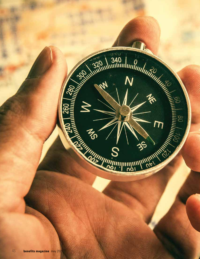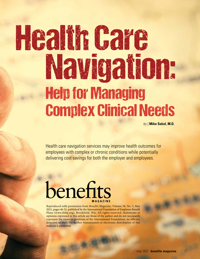# Health Care Navigation. Help for Managing Complex Clinical Needs

*by |* **Mike Sokol, M.D.** 

Health care navigation services may improve health outcomes for employees with complex or chronic conditions while potentially delivering cost savings for both the employer and employees.

# benefits

Reproduced with permission from *Benefits Magazine,* Volume 58, No. 5, May 2021, pages 46-51, published by the International Foundation of Employee Benefit Plans (www.ifebp.org), Brookfield, Wis. All rights reserved. Statements or opinions expressed in this article are those of the author and do not necessarily represent the views or positions of the International Foundation, its officers, directors or staff. No further transmission or electronic distribution of this material is permitted.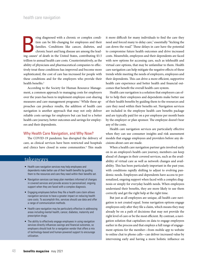eing diagnosed with a chronic or complex condition can be life-changing for employees and their families. Conditions like cancer, diabetes, and chronic heart and lung disease are among the leading causes<sup>1</sup> of death in the tion can be life-changing for employees and their families. Conditions like cancer, diabetes, and chronic heart and lung disease are among the leading causes<sup>1</sup> of death in the United States, contributing \$3.5 trillion to annual health care costs. Counterintuitively, as the ability of physicians and pharmaceutical companies to effectively treat these conditions has improved and become more sophisticated, the cost of care has increased for people with these conditions and for the employers who provide their health benefits.2

According to the Society for Human Resource Management, a common approach to managing costs for employers over the years has been to implement employee cost-sharing measures and care management programs.3 While these approaches can produce results, the addition of health care navigation is another approach that may not only deliver reliable costs savings for employers but can lead to a better health care journey, better outcomes and savings for employees and their dependents.

#### Why Health Care Navigation, and Why Now?

The COVID-19 pandemic has disrupted the delivery of care, as clinical services have been restricted and hospitals and clinics have closed in some communities.<sup>4</sup> This made

## takeaways

- Health care navigation services may help employees and dependents make better use of their health benefits by guiding them to the resources and care they need within their benefits set.
- Navigation services can keep plan members informed of changes in covered services and provide access to personalized, ongoing support when they are faced with a complex diagnosis.
- Engaging employees before they file a health care claim allows navigation services to have a greater impact on reducing health care costs. To accomplish this, services should use data and offer a range of communication methods.
- Health care navigation may be particularly effective in addressing areas including mental health, cancer, diabetes, maternity and prescription drugs.
- The ability to effectively engage employees in using navigation services directly influences savings and financial outcomes, so employers should look for a navigation vendor that offers a mix of technology-based and human-powered support to encourage utilization.

it more difficult for many individuals to find the care they need and forced many to delay care,<sup>5</sup> essentially "kicking the can down the road." These delays in care have the potential to compromise future health outcomes and drive increased costs. Meanwhile, employees and their dependents are faced with new options for accessing care, such as telehealth and virtual care options, that may be unfamiliar to them. Health care navigation can help mitigate the negative effects of these trends while meeting the needs of employers, employees and their dependents. This can drive a more efficient, supportive health care experience and better health and financial outcomes that benefit the overall health care system.

Health care navigation is a solution that employers can offer to help their employees and dependents make better use of their health benefits by guiding them to the resources and care they need within their benefits set. Navigation services are included in the employee health care benefits package and are typically paid for on a per employee per month basis by the employer or plan sponsor. The employee doesn't bear any of the costs.

Health care navigation services are particularly effective when they can use consumer insights and risk assessment models that engage employees and providers before any decisions about care are made.

When a health care navigation partner gets involved early on in an employee's health care journey, members can keep ahead of changes in their covered services, such as the availability of virtual care as well as network changes and availability. This has been particularly important in the past year, with conditions rapidly shifting to adjust to evolving pandemic needs. Employees and dependents have access to personalized, ongoing support when faced with a complex diagnosis or simply for everyday health needs. When employees understand their benefits, they are more likely to use them correctly and get the right help at the right time.

But just as all employees are unique, all health care navigation is not created equal. Some navigation options engage employees only after they file a claim, which means they may already be on a path of decisions that may not provide the right level of care or be the most efficient. By contrast, a navigation solution that capitalizes on data to engage employees earlier in the process and that employs a full range of engagement options for the member—from mobile app to website to online chat to phone calls—can deliver increased value by intervening early and having a more holistic influence on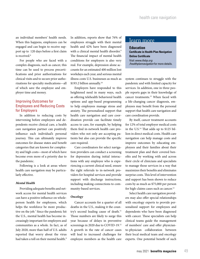an individual members' health needs. When this happens, employees can be engaged and can begin to receive support up to 120 days before a first claim is received.<sup>6</sup>

For people who are faced with a complex diagnosis, such as cancer, this time can be used to process precertifications and prior authorizations for clinical visits and to secure prior authorizations for specialty medications—all of which save the employee and employer time and money.

### Improving Outcomes for Employees and Reducing Costs for Employers

In addition to reducing costs by intervening before employees and dependents receive clinical care, a health care navigation partner can positively influence each individual's personal journey. This can ultimately improve outcomes for disease states and benefit categories that are known for complexity and high costs—most of which have become even more of a priority due to the pandemic.

Following is a look at areas where health care navigation may be particularly effective.

#### *Mental Health*

Providing adequate benefits and network access for mental health services can have a positive influence on wholeperson health for employees, which helps the workforce be more productive on the job.7 Since the pandemic hit the U.S., mental health has become increasingly important for employers and communities as a whole. In fact, as of July 2020, more than half of U.S. adults reported that worry about the virus had taken a toll on their mental health.<sup>8</sup>

In addition, reports show that 76% of employees struggle with their mental health and 42% have been diagnosed with a clinical mental health disorder.<sup>9</sup> The financial impact of mental health conditions for employers is also very real. For example, depression alone accounts for an estimated 400 million lost workdays each year, and serious mental illness costs U.S. businesses as much as \$193.2 billion annually.<sup>10</sup>

Employers have responded to this heightened need in many ways, such as offering telehealth behavioral health options and app-based programming to help employees manage stress and anxiety. The personalized support that health care navigation and care coordination provide can facilitate timely access to care, for example, by helping them find in-network health care providers who not only are accepting patients but also can provide the specific care required.

Care coordinators for select navigation providers can conduct a screening for depression during initial interactions with any employee who is experiencing a current clinical need, ensure the right referrals to in-network providers for hospital services and provide support with discharge instructions, including making connections to community-based services.

#### *Oncology*

Cancer accounts for a quarter of all deaths in the U.S., making it the country's second leading cause of death.<sup>11</sup> Those numbers are likely to surge this year because of delays in preventive screenings in 2020 due to COVID-19.12 A growth in the rate of cancer cases will lead to increased challenges for employee members as the health care

### learn more

**Education Certificate in Health Plan Navigation Online Certificate**  Visit *www.ifebp.org /healthplannavigation* for more details.

system continues to struggle with the pandemic and with limited capacity for services. In addition, one in three people reports gaps in their knowledge of cancer treatments.<sup>13</sup> When faced with a life-changing cancer diagnosis, employees may benefit from the personal support that health care navigation and care coordination provide.

By itself, cancer treatment accounts for 12% of total employer medical costs in the U.S.<sup>14</sup> That adds up to \$125 billion in direct medical costs. Health care navigation can help manage costs and improve outcomes by educating employees and their families about their treatment plan and their covered benefits and by working with and across their circle of clinicians and specialists to manage those services in a way that maximizes their benefits and eliminates surprise costs. This level of intervention and support has been shown to reduce costs by as much as \$75,000 per person for high-claims cases such as cancer.<sup>15</sup>

Select health care navigation providers may also offer special relationships with oncology experts to provide personalized support for employees and dependents who have been diagnosed with cancer. These specialists can help clinical teams guide the management of members' care and offer physicianto-physician collaboration between their local medical team and oncology experts. One potential benefit of such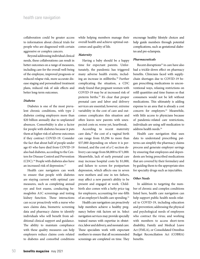collaboration could be greater access to information about clinical trials for people who are diagnosed with certain aggressive or complex cancers.

Beyond addressing individual clinical needs, these collaborations can result in better outcomes on a range of measures, including care for the overall well-being of the employee, improved prognosis or reduced relapse risk, more accurate disease staging and personalized treatment plans, reduced risk of side effects and better long-term outcomes.

#### *Diabetes*

Diabetes is one of the most prevalent chronic conditions, with type 2 diabetes costing employers more than \$20 billion annually due to unplanned absences. Comorbidity is also a factor for people with diabetes because it puts them at higher risk of adverse outcomes if they contract COVID-19. Consider the fact that about half of people under age 65 who have died from COVID-19 also had diabetes, according to the Centers for Disease Control and Prevention (CDC).16 People with diabetes also have an increased risk of depression.<sup>17</sup>

Health care navigators can work to ensure that people with diabetes are staying current with optimal care measures, such as completing annual eye and foot exams, conducting hemoglobin A1C screenings and testing kidney function. These interactions can occur proactively with a nurse who uses claims data, biometric screening data and pharmacy claims to identify individuals who will benefit from additional clinical support and guidance. The ability to maintain compliance with these quality measures can help employers reduce claims costs related to diabetes and comorbid conditions

while helping members manage their overall health and achieve optimal outcomes and quality of life.

#### *Maternity*

Having a baby should be a happy time for expectant parents. Unfortunately, the pandemic has triggered many adverse health events, including an increase in stillbirths.<sup>18</sup> Further complicating the situation, a CDC study found that pregnant women with COVID-19 may be at increased risk of preterm births.<sup>19</sup> It's clear that proper prenatal care and labor and delivery services are essential; however, extreme variability in the cost of care and outcomes complicates this situation and often leaves new parents with unexpected costs or, worse yet, heartbreak.

According to recent maternity care data,<sup>20</sup> the cost of a vaginal birth can range from \$3,296 to more than \$37,000 depending on where it is performed, and the cost of a C-section delivery can range from \$8,000 to \$71,000. Meanwhile, lack of early prenatal care may increase hospital costs by \$1,000, and failure to screen for postpartum depression, which affects one in seven new mothers and one in ten fathers, may affect a new parent's ability to be present and engaged at work. Childbirth also comes with a hefty price tag for employers, accounting for one-fifth of an employer's health care spending.<sup>21</sup>

Health care navigation can proactively help members achieve a healthy pregnancy before risk factors set in. Select navigation services may provide specially trained nurses with expertise in obstetrics, labor and delivery, and neonatal care. These specialists work with expectant mothers to ensure that all recommended screenings are completed on time. They encourage healthy lifestyle choices and help guide members through potential complications, such as gestational diabetes and pre-eclampsia.

#### *Pharmaceuticals*

Recent disruptions<sup>22</sup> in care have also had a trickle-down effect on pharmacy benefits. Clinicians faced with supplychain shortages due to COVID-19 began prescribing medications in unconventional ways, relaxing restrictions on refill quantities and time frames so that consumers would not be left without medications. This ultimately is adding expense to an area that is already a cost concern for employers.<sup>23</sup> Meanwhile, with little access to physicians because of pandemic-related care restrictions, individuals are using self-medication to address health needs.<sup>24</sup>

Health care navigation that uses data to understand prescribing patterns can simplify the pharmacy claims process and generate employer savings by ensuring that employees and dependents are being prescribed medications that are covered by their formulary and by guiding them to the appropriate sites for specialty drugs such as injectables.

#### *Other Needs*

In addition to targeting the number of chronic and complex conditions listed here, health care navigation can help support public health needs related to COVID-19, including education and prevention; addressing the physical and psychological needs of employees who contract the virus; and working with members to access short-term disability, Family and Medical Leave Act (FMLA), or Consolidated Omnibus Budget Reconciliation Act (COBRA) benefits.